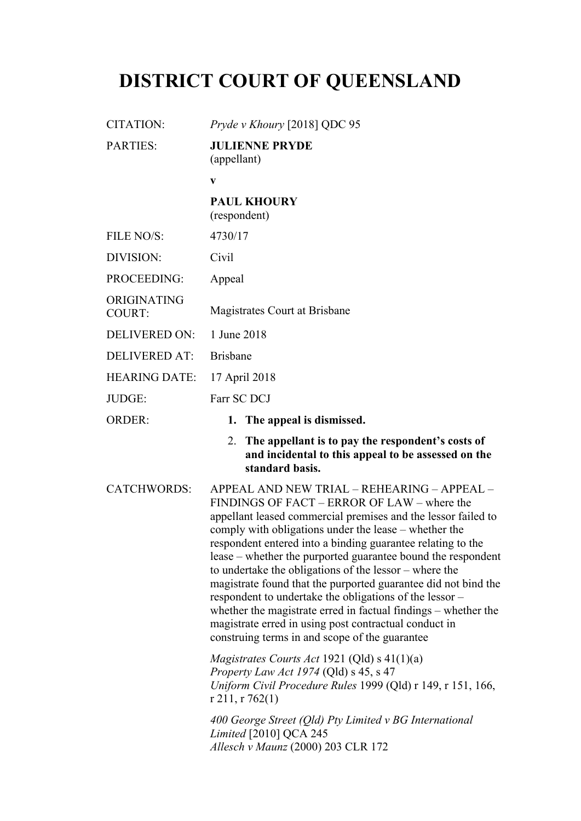# **DISTRICT COURT OF QUEENSLAND**

CITATION: *Pryde v Khoury* [2018] QDC 95

| <b>PARTIES:</b>              | <b>JULIENNE PRYDE</b><br>(appellant)                                                                                                                                                                                                                                                                                                                                                                                                                                                                                                                                                                                                                                                                                    |
|------------------------------|-------------------------------------------------------------------------------------------------------------------------------------------------------------------------------------------------------------------------------------------------------------------------------------------------------------------------------------------------------------------------------------------------------------------------------------------------------------------------------------------------------------------------------------------------------------------------------------------------------------------------------------------------------------------------------------------------------------------------|
|                              | $\mathbf{V}$                                                                                                                                                                                                                                                                                                                                                                                                                                                                                                                                                                                                                                                                                                            |
|                              | <b>PAUL KHOURY</b><br>(respondent)                                                                                                                                                                                                                                                                                                                                                                                                                                                                                                                                                                                                                                                                                      |
| FILE NO/S:                   | 4730/17                                                                                                                                                                                                                                                                                                                                                                                                                                                                                                                                                                                                                                                                                                                 |
| DIVISION:                    | Civil                                                                                                                                                                                                                                                                                                                                                                                                                                                                                                                                                                                                                                                                                                                   |
| PROCEEDING:                  | Appeal                                                                                                                                                                                                                                                                                                                                                                                                                                                                                                                                                                                                                                                                                                                  |
| ORIGINATING<br><b>COURT:</b> | Magistrates Court at Brisbane                                                                                                                                                                                                                                                                                                                                                                                                                                                                                                                                                                                                                                                                                           |
| <b>DELIVERED ON:</b>         | 1 June 2018                                                                                                                                                                                                                                                                                                                                                                                                                                                                                                                                                                                                                                                                                                             |
| <b>DELIVERED AT:</b>         | <b>Brisbane</b>                                                                                                                                                                                                                                                                                                                                                                                                                                                                                                                                                                                                                                                                                                         |
| <b>HEARING DATE:</b>         | 17 April 2018                                                                                                                                                                                                                                                                                                                                                                                                                                                                                                                                                                                                                                                                                                           |
| JUDGE:                       | Farr SC DCJ                                                                                                                                                                                                                                                                                                                                                                                                                                                                                                                                                                                                                                                                                                             |
| <b>ORDER:</b>                | 1. The appeal is dismissed.                                                                                                                                                                                                                                                                                                                                                                                                                                                                                                                                                                                                                                                                                             |
|                              | The appellant is to pay the respondent's costs of<br>2.<br>and incidental to this appeal to be assessed on the<br>standard basis.                                                                                                                                                                                                                                                                                                                                                                                                                                                                                                                                                                                       |
| <b>CATCHWORDS:</b>           | APPEAL AND NEW TRIAL - REHEARING - APPEAL -<br>FINDINGS OF FACT - ERROR OF LAW - where the<br>appellant leased commercial premises and the lessor failed to<br>comply with obligations under the lease – whether the<br>respondent entered into a binding guarantee relating to the<br>lease – whether the purported guarantee bound the respondent<br>to undertake the obligations of the lessor – where the<br>magistrate found that the purported guarantee did not bind the<br>respondent to undertake the obligations of the lessor –<br>whether the magistrate erred in factual findings – whether the<br>magistrate erred in using post contractual conduct in<br>construing terms in and scope of the guarantee |
|                              | <i>Magistrates Courts Act</i> 1921 (Qld) $s$ 41(1)(a)<br>Property Law Act 1974 (Qld) s 45, s 47<br>Uniform Civil Procedure Rules 1999 (Qld) r 149, r 151, 166,<br>r 211, r $762(1)$                                                                                                                                                                                                                                                                                                                                                                                                                                                                                                                                     |
|                              | 400 George Street (Qld) Pty Limited v BG International<br>Limited [2010] QCA 245<br>Allesch v Maunz (2000) 203 CLR 172                                                                                                                                                                                                                                                                                                                                                                                                                                                                                                                                                                                                  |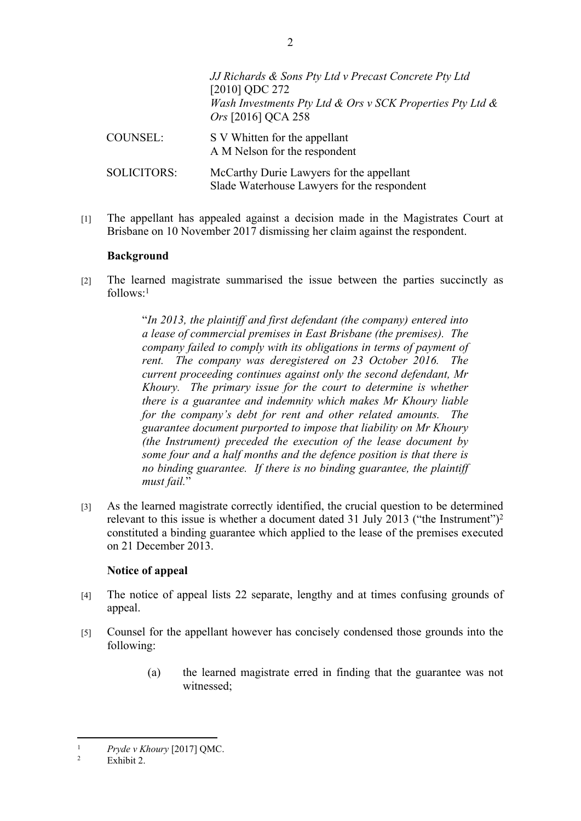|                    | JJ Richards & Sons Pty Ltd v Precast Concrete Pty Ltd<br>[2010] QDC 272<br>Wash Investments Pty Ltd & Ors v SCK Properties Pty Ltd $\&$<br><i>Ors</i> [2016] QCA 258 |
|--------------------|----------------------------------------------------------------------------------------------------------------------------------------------------------------------|
| COUNSEL:           | S V Whitten for the appellant<br>A M Nelson for the respondent                                                                                                       |
| <b>SOLICITORS:</b> | McCarthy Durie Lawyers for the appellant<br>Slade Waterhouse Lawyers for the respondent                                                                              |

[1] The appellant has appealed against a decision made in the Magistrates Court at Brisbane on 10 November 2017 dismissing her claim against the respondent.

#### **Background**

[2] The learned magistrate summarised the issue between the parties succinctly as  $follows<sup>-1</sup>$ 

> "*In 2013, the plaintiff and first defendant (the company) entered into a lease of commercial premises in East Brisbane (the premises). The company failed to comply with its obligations in terms of payment of rent. The company was deregistered on 23 October 2016. The current proceeding continues against only the second defendant, Mr Khoury. The primary issue for the court to determine is whether there is a guarantee and indemnity which makes Mr Khoury liable for the company's debt for rent and other related amounts. The guarantee document purported to impose that liability on Mr Khoury (the Instrument) preceded the execution of the lease document by some four and a half months and the defence position is that there is no binding guarantee. If there is no binding guarantee, the plaintiff must fail.*"

[3] As the learned magistrate correctly identified, the crucial question to be determined relevant to this issue is whether a document dated 31 July 2013 ("the Instrument")<sup>2</sup> constituted a binding guarantee which applied to the lease of the premises executed on 21 December 2013.

#### **Notice of appeal**

- [4] The notice of appeal lists 22 separate, lengthy and at times confusing grounds of appeal.
- [5] Counsel for the appellant however has concisely condensed those grounds into the following:
	- (a) the learned magistrate erred in finding that the guarantee was not witnessed;

2

<sup>1</sup> *Pryde v Khoury* [2017] QMC.

<sup>2</sup> Exhibit 2.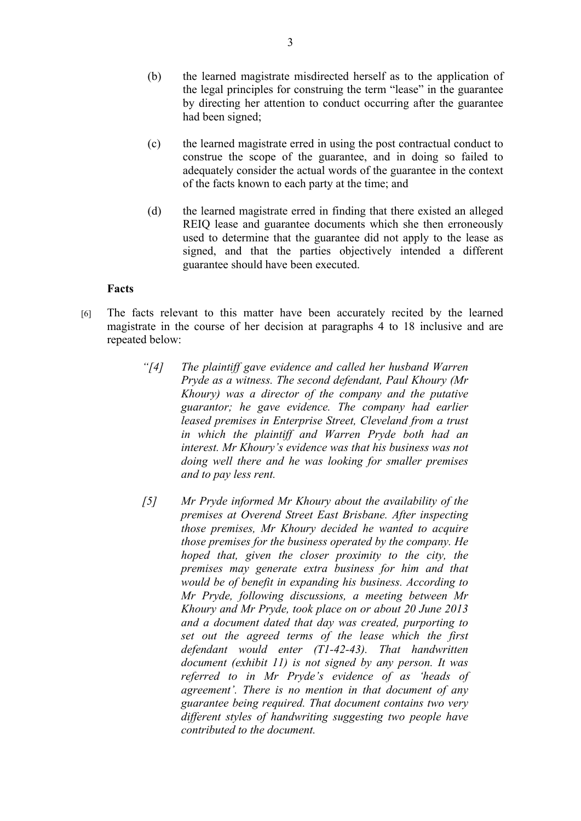- (b) the learned magistrate misdirected herself as to the application of the legal principles for construing the term "lease" in the guarantee by directing her attention to conduct occurring after the guarantee had been signed;
- (c) the learned magistrate erred in using the post contractual conduct to construe the scope of the guarantee, and in doing so failed to adequately consider the actual words of the guarantee in the context of the facts known to each party at the time; and
- (d) the learned magistrate erred in finding that there existed an alleged REIQ lease and guarantee documents which she then erroneously used to determine that the guarantee did not apply to the lease as signed, and that the parties objectively intended a different guarantee should have been executed.

#### **Facts**

- [6] The facts relevant to this matter have been accurately recited by the learned magistrate in the course of her decision at paragraphs 4 to 18 inclusive and are repeated below:
	- *"[4] The plaintiff gave evidence and called her husband Warren Pryde as a witness. The second defendant, Paul Khoury (Mr Khoury) was a director of the company and the putative guarantor; he gave evidence. The company had earlier leased premises in Enterprise Street, Cleveland from a trust in which the plaintiff and Warren Pryde both had an interest. Mr Khoury's evidence was that his business was not doing well there and he was looking for smaller premises and to pay less rent.*
	- *[5] Mr Pryde informed Mr Khoury about the availability of the premises at Overend Street East Brisbane. After inspecting those premises, Mr Khoury decided he wanted to acquire those premises for the business operated by the company. He hoped that, given the closer proximity to the city, the premises may generate extra business for him and that would be of benefit in expanding his business. According to Mr Pryde, following discussions, a meeting between Mr Khoury and Mr Pryde, took place on or about 20 June 2013 and a document dated that day was created, purporting to set out the agreed terms of the lease which the first defendant would enter (T1-42-43). That handwritten document (exhibit 11) is not signed by any person. It was referred to in Mr Pryde's evidence of as 'heads of agreement'. There is no mention in that document of any guarantee being required. That document contains two very different styles of handwriting suggesting two people have contributed to the document.*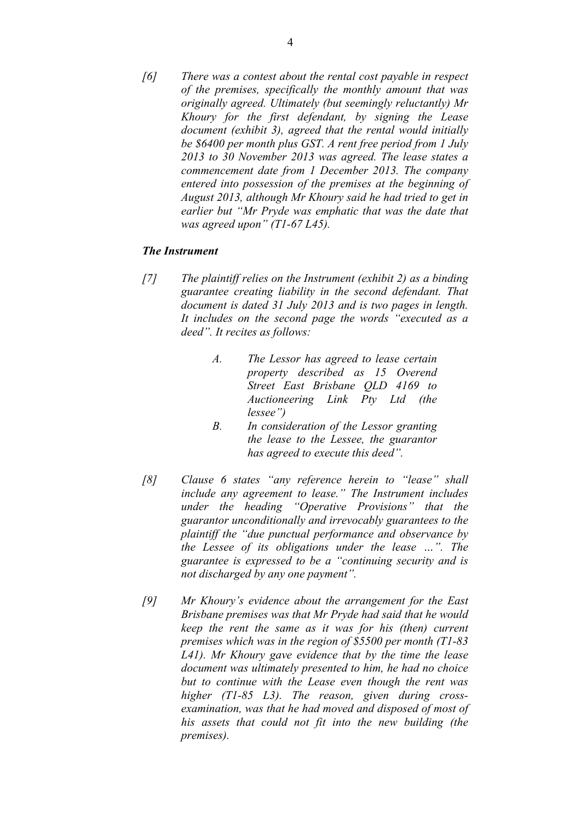*[6] There was a contest about the rental cost payable in respect of the premises, specifically the monthly amount that was originally agreed. Ultimately (but seemingly reluctantly) Mr Khoury for the first defendant, by signing the Lease document (exhibit 3), agreed that the rental would initially be \$6400 per month plus GST. A rent free period from 1 July 2013 to 30 November 2013 was agreed. The lease states a commencement date from 1 December 2013. The company entered into possession of the premises at the beginning of August 2013, although Mr Khoury said he had tried to get in earlier but "Mr Pryde was emphatic that was the date that was agreed upon" (T1-67 L45).*

#### *The Instrument*

- *[7] The plaintiff relies on the Instrument (exhibit 2) as a binding guarantee creating liability in the second defendant. That document is dated 31 July 2013 and is two pages in length. It includes on the second page the words "executed as a deed". It recites as follows:*
	- *A. The Lessor has agreed to lease certain property described as 15 Overend Street East Brisbane QLD 4169 to Auctioneering Link Pty Ltd (the lessee")*
	- *B. In consideration of the Lessor granting the lease to the Lessee, the guarantor has agreed to execute this deed".*
- *[8] Clause 6 states "any reference herein to "lease" shall include any agreement to lease." The Instrument includes under the heading "Operative Provisions" that the guarantor unconditionally and irrevocably guarantees to the plaintiff the "due punctual performance and observance by the Lessee of its obligations under the lease …". The guarantee is expressed to be a "continuing security and is not discharged by any one payment".*
- *[9] Mr Khoury's evidence about the arrangement for the East Brisbane premises was that Mr Pryde had said that he would keep the rent the same as it was for his (then) current premises which was in the region of \$5500 per month (T1-83 L41). Mr Khoury gave evidence that by the time the lease document was ultimately presented to him, he had no choice but to continue with the Lease even though the rent was higher (T1-85 L3). The reason, given during crossexamination, was that he had moved and disposed of most of his assets that could not fit into the new building (the premises).*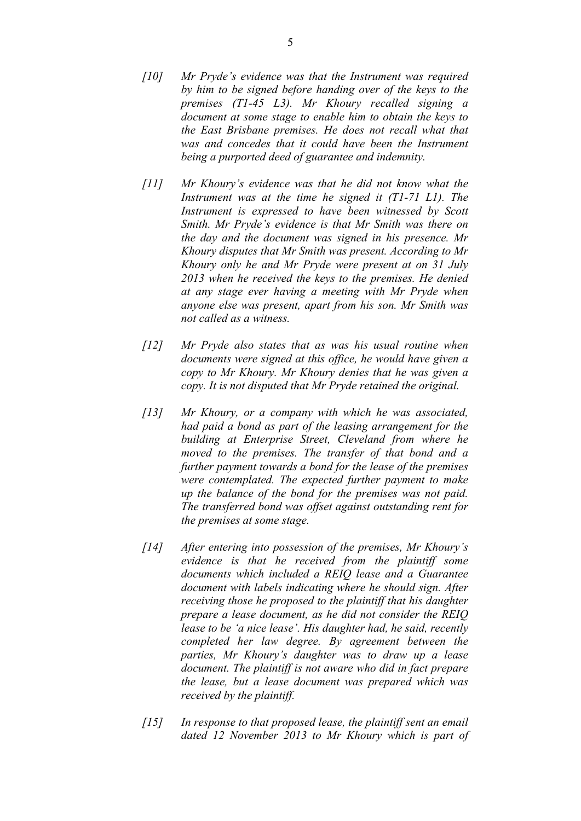- *[10] Mr Pryde's evidence was that the Instrument was required by him to be signed before handing over of the keys to the premises (T1-45 L3). Mr Khoury recalled signing a document at some stage to enable him to obtain the keys to the East Brisbane premises. He does not recall what that was and concedes that it could have been the Instrument being a purported deed of guarantee and indemnity.*
- *[11] Mr Khoury's evidence was that he did not know what the Instrument was at the time he signed it (T1-71 L1). The Instrument is expressed to have been witnessed by Scott Smith. Mr Pryde's evidence is that Mr Smith was there on the day and the document was signed in his presence. Mr Khoury disputes that Mr Smith was present. According to Mr Khoury only he and Mr Pryde were present at on 31 July 2013 when he received the keys to the premises. He denied at any stage ever having a meeting with Mr Pryde when anyone else was present, apart from his son. Mr Smith was not called as a witness.*
- *[12] Mr Pryde also states that as was his usual routine when documents were signed at this office, he would have given a copy to Mr Khoury. Mr Khoury denies that he was given a copy. It is not disputed that Mr Pryde retained the original.*
- *[13] Mr Khoury, or a company with which he was associated, had paid a bond as part of the leasing arrangement for the building at Enterprise Street, Cleveland from where he moved to the premises. The transfer of that bond and a further payment towards a bond for the lease of the premises were contemplated. The expected further payment to make up the balance of the bond for the premises was not paid. The transferred bond was offset against outstanding rent for the premises at some stage.*
- *[14] After entering into possession of the premises, Mr Khoury's evidence is that he received from the plaintiff some documents which included a REIQ lease and a Guarantee document with labels indicating where he should sign. After receiving those he proposed to the plaintiff that his daughter prepare a lease document, as he did not consider the REIQ lease to be 'a nice lease'. His daughter had, he said, recently completed her law degree. By agreement between the parties, Mr Khoury's daughter was to draw up a lease document. The plaintiff is not aware who did in fact prepare the lease, but a lease document was prepared which was received by the plaintiff.*
- *[15] In response to that proposed lease, the plaintiff sent an email dated 12 November 2013 to Mr Khoury which is part of*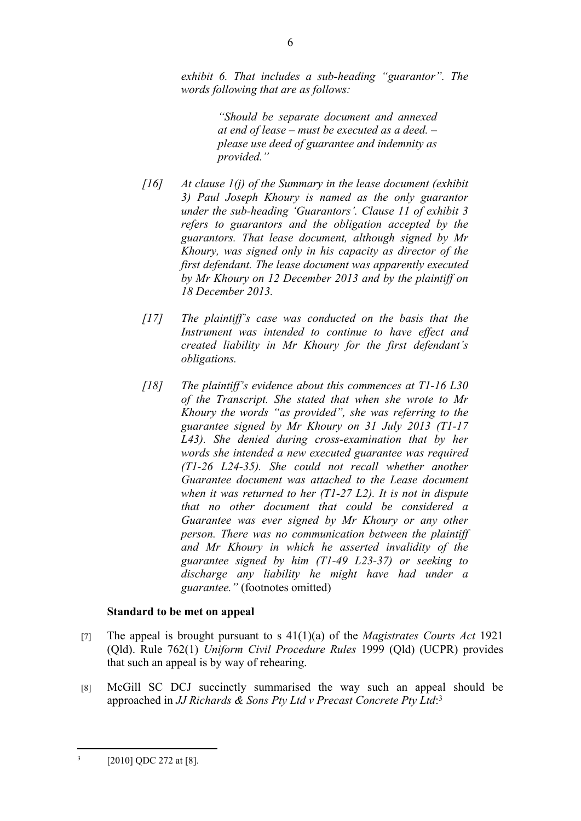*exhibit 6. That includes a sub-heading "guarantor". The words following that are as follows:*

> *"Should be separate document and annexed at end of lease – must be executed as a deed. – please use deed of guarantee and indemnity as provided."*

- *[16] At clause 1(j) of the Summary in the lease document (exhibit 3) Paul Joseph Khoury is named as the only guarantor under the sub-heading 'Guarantors'. Clause 11 of exhibit 3 refers to guarantors and the obligation accepted by the guarantors. That lease document, although signed by Mr Khoury, was signed only in his capacity as director of the first defendant. The lease document was apparently executed by Mr Khoury on 12 December 2013 and by the plaintiff on 18 December 2013.*
- *[17] The plaintiff's case was conducted on the basis that the Instrument was intended to continue to have effect and created liability in Mr Khoury for the first defendant's obligations.*
- *[18] The plaintiff's evidence about this commences at T1-16 L30 of the Transcript. She stated that when she wrote to Mr Khoury the words "as provided", she was referring to the guarantee signed by Mr Khoury on 31 July 2013 (T1-17 L43). She denied during cross-examination that by her words she intended a new executed guarantee was required (T1-26 L24-35). She could not recall whether another Guarantee document was attached to the Lease document when it was returned to her (T1-27 L2). It is not in dispute that no other document that could be considered a Guarantee was ever signed by Mr Khoury or any other person. There was no communication between the plaintiff and Mr Khoury in which he asserted invalidity of the guarantee signed by him (T1-49 L23-37) or seeking to discharge any liability he might have had under a guarantee."* (footnotes omitted)

# **Standard to be met on appeal**

- [7] The appeal is brought pursuant to s 41(1)(a) of the *Magistrates Courts Act* 1921 (Qld). Rule 762(1) *Uniform Civil Procedure Rules* 1999 (Qld) (UCPR) provides that such an appeal is by way of rehearing.
- [8] McGill SC DCJ succinctly summarised the way such an appeal should be approached in *JJ Richards & Sons Pty Ltd v Precast Concrete Pty Ltd*: 3

<sup>3</sup> [2010] QDC 272 at [8].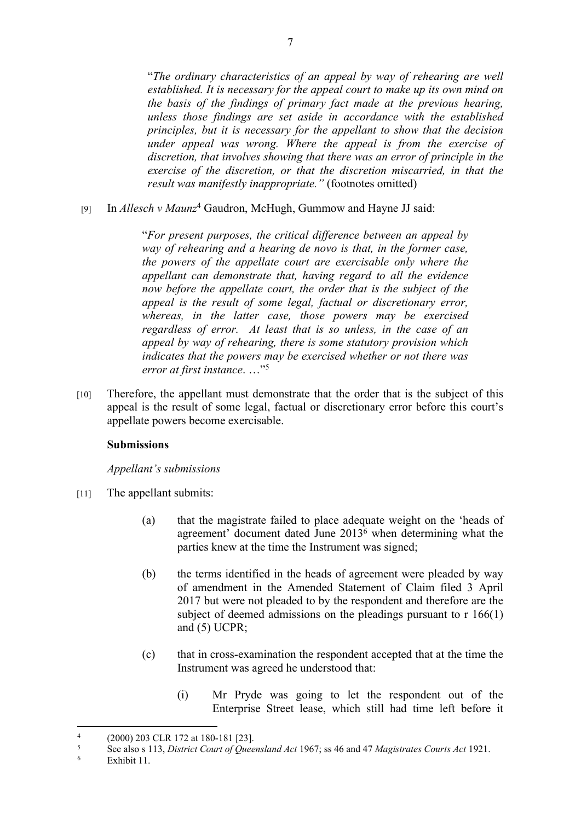"*The ordinary characteristics of an appeal by way of rehearing are well established. It is necessary for the appeal court to make up its own mind on the basis of the findings of primary fact made at the previous hearing, unless those findings are set aside in accordance with the established principles, but it is necessary for the appellant to show that the decision under appeal was wrong. Where the appeal is from the exercise of discretion, that involves showing that there was an error of principle in the exercise of the discretion, or that the discretion miscarried, in that the result was manifestly inappropriate."* (footnotes omitted)

[9] In *Allesch v Maunz<sup>4</sup>* Gaudron, McHugh, Gummow and Hayne JJ said:

"*For present purposes, the critical difference between an appeal by way of rehearing and a hearing de novo is that, in the former case, the powers of the appellate court are exercisable only where the appellant can demonstrate that, having regard to all the evidence now before the appellate court, the order that is the subject of the appeal is the result of some legal, factual or discretionary error, whereas, in the latter case, those powers may be exercised regardless of error. At least that is so unless, in the case of an appeal by way of rehearing, there is some statutory provision which indicates that the powers may be exercised whether or not there was error at first instance*. …"<sup>5</sup>

[10] Therefore, the appellant must demonstrate that the order that is the subject of this appeal is the result of some legal, factual or discretionary error before this court's appellate powers become exercisable.

# **Submissions**

#### *Appellant's submissions*

- [11] The appellant submits:
	- (a) that the magistrate failed to place adequate weight on the 'heads of agreement' document dated June 2013<sup>6</sup> when determining what the parties knew at the time the Instrument was signed;
	- (b) the terms identified in the heads of agreement were pleaded by way of amendment in the Amended Statement of Claim filed 3 April 2017 but were not pleaded to by the respondent and therefore are the subject of deemed admissions on the pleadings pursuant to r 166(1) and (5) UCPR;
	- (c) that in cross-examination the respondent accepted that at the time the Instrument was agreed he understood that:
		- (i) Mr Pryde was going to let the respondent out of the Enterprise Street lease, which still had time left before it

<sup>4</sup> (2000) 203 CLR 172 at 180-181 [23].

<sup>5</sup> See also s 113, *District Court of Queensland Act* 1967; ss 46 and 47 *Magistrates Courts Act* 1921.

<sup>6</sup> Exhibit 11.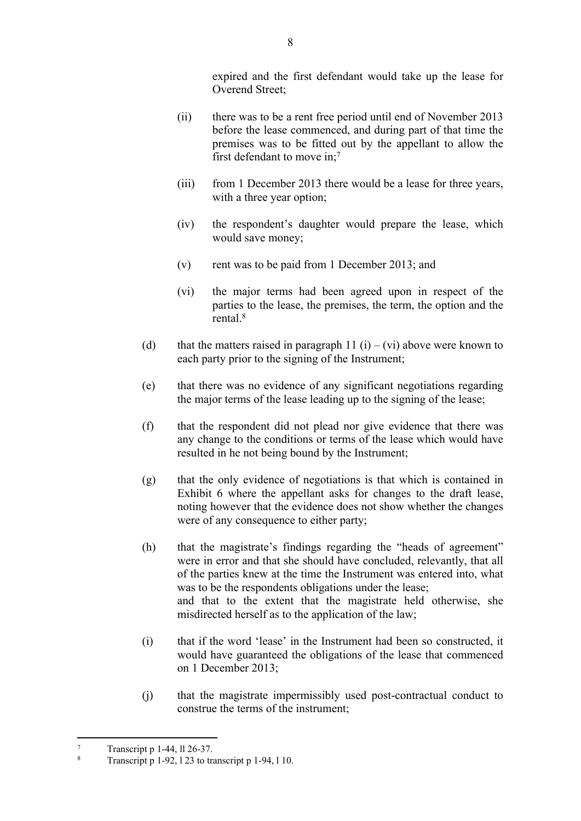expired and the first defendant would take up the lease for Overend Street;

- (ii) there was to be a rent free period until end of November 2013 before the lease commenced, and during part of that time the premises was to be fitted out by the appellant to allow the first defendant to move in;<sup>7</sup>
- (iii) from 1 December 2013 there would be a lease for three years, with a three year option;
- (iv) the respondent's daughter would prepare the lease, which would save money;
- (v) rent was to be paid from 1 December 2013; and
- (vi) the major terms had been agreed upon in respect of the parties to the lease, the premises, the term, the option and the rental<sup>8</sup>
- (d) that the matters raised in paragraph 11 (i) (vi) above were known to each party prior to the signing of the Instrument;
- (e) that there was no evidence of any significant negotiations regarding the major terms of the lease leading up to the signing of the lease;
- (f) that the respondent did not plead nor give evidence that there was any change to the conditions or terms of the lease which would have resulted in he not being bound by the Instrument;
- (g) that the only evidence of negotiations is that which is contained in Exhibit 6 where the appellant asks for changes to the draft lease, noting however that the evidence does not show whether the changes were of any consequence to either party;
- (h) that the magistrate's findings regarding the "heads of agreement" were in error and that she should have concluded, relevantly, that all of the parties knew at the time the Instrument was entered into, what was to be the respondents obligations under the lease; and that to the extent that the magistrate held otherwise, she misdirected herself as to the application of the law;
- (i) that if the word 'lease' in the Instrument had been so constructed, it would have guaranteed the obligations of the lease that commenced on 1 December 2013;
- (j) that the magistrate impermissibly used post-contractual conduct to construe the terms of the instrument;

<sup>7</sup> Transcript p 1-44, ll 26-37.

<sup>8</sup> Transcript p 1-92, l 23 to transcript p 1-94, l 10.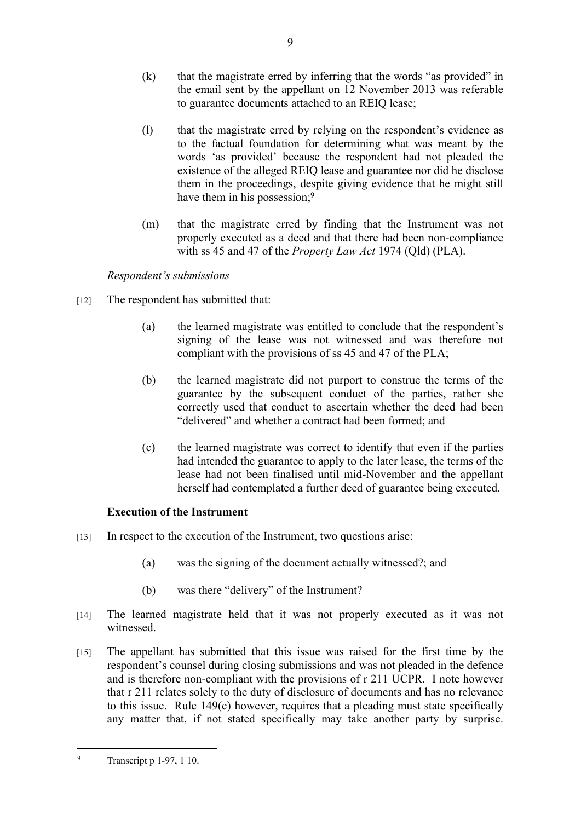- (k) that the magistrate erred by inferring that the words "as provided" in the email sent by the appellant on 12 November 2013 was referable to guarantee documents attached to an REIQ lease;
- (l) that the magistrate erred by relying on the respondent's evidence as to the factual foundation for determining what was meant by the words 'as provided' because the respondent had not pleaded the existence of the alleged REIQ lease and guarantee nor did he disclose them in the proceedings, despite giving evidence that he might still have them in his possession;<sup>9</sup>
- (m) that the magistrate erred by finding that the Instrument was not properly executed as a deed and that there had been non-compliance with ss 45 and 47 of the *Property Law Act* 1974 (Qld) (PLA).

# *Respondent's submissions*

- [12] The respondent has submitted that:
	- (a) the learned magistrate was entitled to conclude that the respondent's signing of the lease was not witnessed and was therefore not compliant with the provisions of ss 45 and 47 of the PLA;
	- (b) the learned magistrate did not purport to construe the terms of the guarantee by the subsequent conduct of the parties, rather she correctly used that conduct to ascertain whether the deed had been "delivered" and whether a contract had been formed; and
	- (c) the learned magistrate was correct to identify that even if the parties had intended the guarantee to apply to the later lease, the terms of the lease had not been finalised until mid-November and the appellant herself had contemplated a further deed of guarantee being executed.

# **Execution of the Instrument**

- [13] In respect to the execution of the Instrument, two questions arise:
	- (a) was the signing of the document actually witnessed?; and
	- (b) was there "delivery" of the Instrument?
- [14] The learned magistrate held that it was not properly executed as it was not witnessed.
- [15] The appellant has submitted that this issue was raised for the first time by the respondent's counsel during closing submissions and was not pleaded in the defence and is therefore non-compliant with the provisions of r 211 UCPR. I note however that r 211 relates solely to the duty of disclosure of documents and has no relevance to this issue. Rule 149(c) however, requires that a pleading must state specifically any matter that, if not stated specifically may take another party by surprise.

9

 $\mathbf{Q}$ Transcript p 1-97, 1 10.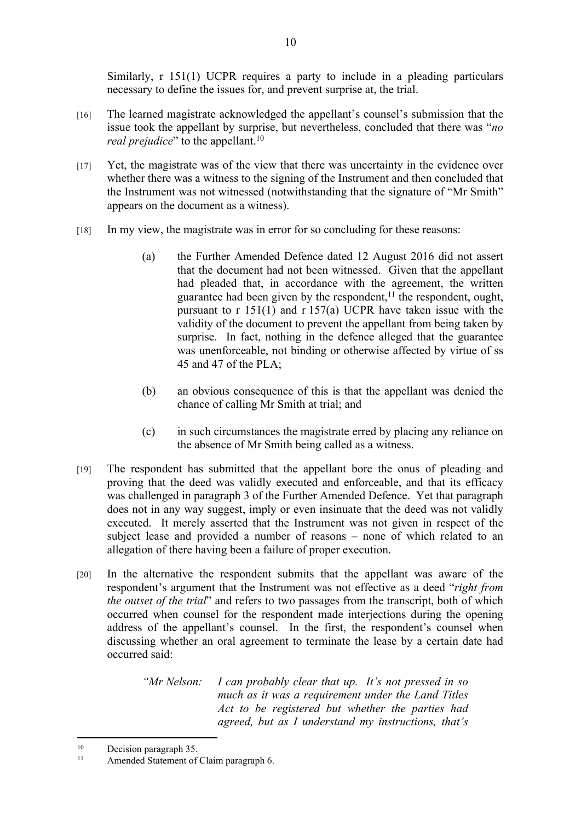Similarly, r 151(1) UCPR requires a party to include in a pleading particulars necessary to define the issues for, and prevent surprise at, the trial.

- [16] The learned magistrate acknowledged the appellant's counsel's submission that the issue took the appellant by surprise, but nevertheless, concluded that there was "*no real prejudice*" to the appellant.<sup>10</sup>
- [17] Yet, the magistrate was of the view that there was uncertainty in the evidence over whether there was a witness to the signing of the Instrument and then concluded that the Instrument was not witnessed (notwithstanding that the signature of "Mr Smith" appears on the document as a witness).
- [18] In my view, the magistrate was in error for so concluding for these reasons:
	- (a) the Further Amended Defence dated 12 August 2016 did not assert that the document had not been witnessed. Given that the appellant had pleaded that, in accordance with the agreement, the written guarantee had been given by the respondent, $11$  the respondent, ought, pursuant to r 151(1) and r 157(a) UCPR have taken issue with the validity of the document to prevent the appellant from being taken by surprise. In fact, nothing in the defence alleged that the guarantee was unenforceable, not binding or otherwise affected by virtue of ss 45 and 47 of the PLA;
	- (b) an obvious consequence of this is that the appellant was denied the chance of calling Mr Smith at trial; and
	- (c) in such circumstances the magistrate erred by placing any reliance on the absence of Mr Smith being called as a witness.
- [19] The respondent has submitted that the appellant bore the onus of pleading and proving that the deed was validly executed and enforceable, and that its efficacy was challenged in paragraph 3 of the Further Amended Defence. Yet that paragraph does not in any way suggest, imply or even insinuate that the deed was not validly executed. It merely asserted that the Instrument was not given in respect of the subject lease and provided a number of reasons – none of which related to an allegation of there having been a failure of proper execution.
- [20] In the alternative the respondent submits that the appellant was aware of the respondent's argument that the Instrument was not effective as a deed "*right from the outset of the trial*" and refers to two passages from the transcript, both of which occurred when counsel for the respondent made interjections during the opening address of the appellant's counsel. In the first, the respondent's counsel when discussing whether an oral agreement to terminate the lease by a certain date had occurred said:

*"Mr Nelson: I can probably clear that up. It's not pressed in so much as it was a requirement under the Land Titles Act to be registered but whether the parties had agreed, but as I understand my instructions, that's* 

<sup>&</sup>lt;sup>10</sup> Decision paragraph 35.

Amended Statement of Claim paragraph 6.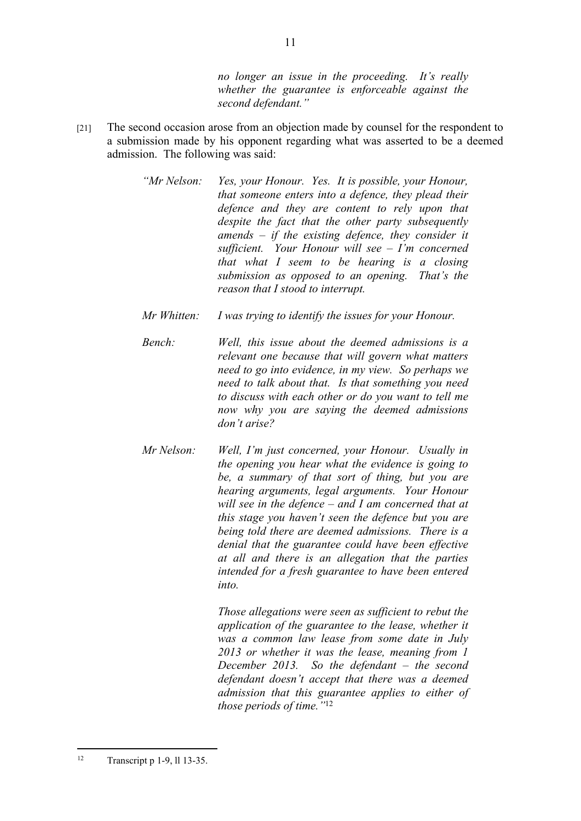*no longer an issue in the proceeding. It's really whether the guarantee is enforceable against the second defendant."*

[21] The second occasion arose from an objection made by counsel for the respondent to a submission made by his opponent regarding what was asserted to be a deemed admission. The following was said:

> *"Mr Nelson: Yes, your Honour. Yes. It is possible, your Honour, that someone enters into a defence, they plead their defence and they are content to rely upon that despite the fact that the other party subsequently amends – if the existing defence, they consider it sufficient. Your Honour will see – I'm concerned that what I seem to be hearing is a closing submission as opposed to an opening. That's the reason that I stood to interrupt.*

*Mr Whitten: I was trying to identify the issues for your Honour.*

*Bench: Well, this issue about the deemed admissions is a relevant one because that will govern what matters need to go into evidence, in my view. So perhaps we need to talk about that. Is that something you need to discuss with each other or do you want to tell me now why you are saying the deemed admissions don't arise?*

*Mr Nelson: Well, I'm just concerned, your Honour. Usually in the opening you hear what the evidence is going to be, a summary of that sort of thing, but you are hearing arguments, legal arguments. Your Honour will see in the defence – and I am concerned that at this stage you haven't seen the defence but you are being told there are deemed admissions. There is a denial that the guarantee could have been effective at all and there is an allegation that the parties intended for a fresh guarantee to have been entered into.*

> *Those allegations were seen as sufficient to rebut the application of the guarantee to the lease, whether it was a common law lease from some date in July 2013 or whether it was the lease, meaning from 1 December 2013. So the defendant – the second defendant doesn't accept that there was a deemed admission that this guarantee applies to either of those periods of time."*<sup>12</sup>

<sup>12</sup> Transcript p 1-9, ll 13-35.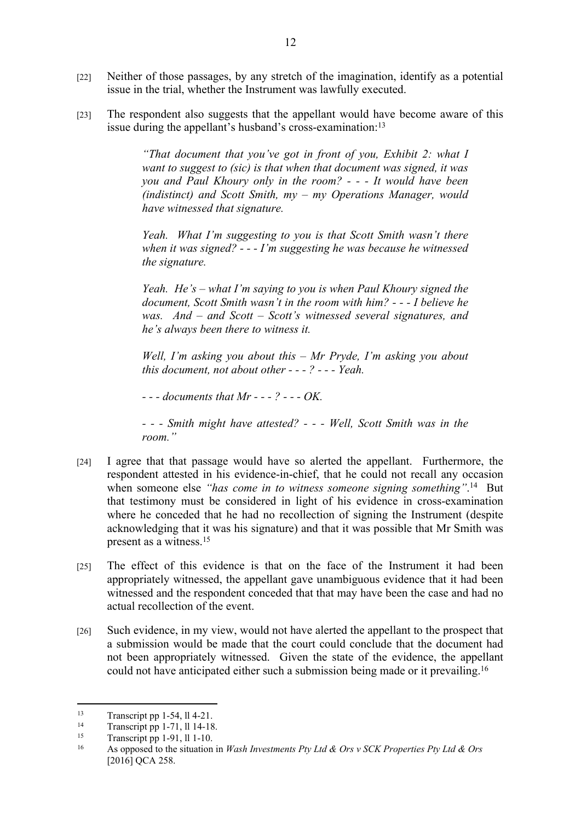- [22] Neither of those passages, by any stretch of the imagination, identify as a potential issue in the trial, whether the Instrument was lawfully executed.
- [23] The respondent also suggests that the appellant would have become aware of this issue during the appellant's husband's cross-examination:<sup>13</sup>

*"That document that you've got in front of you, Exhibit 2: what I want to suggest to (sic) is that when that document was signed, it was you and Paul Khoury only in the room? - - - It would have been (indistinct) and Scott Smith, my – my Operations Manager, would have witnessed that signature.*

*Yeah. What I'm suggesting to you is that Scott Smith wasn't there when it was signed? - - - I'm suggesting he was because he witnessed the signature.*

*Yeah. He's – what I'm saying to you is when Paul Khoury signed the document, Scott Smith wasn't in the room with him? - - - I believe he was. And – and Scott – Scott's witnessed several signatures, and he's always been there to witness it.*

*Well, I'm asking you about this – Mr Pryde, I'm asking you about this document, not about other - - - ? - - - Yeah.* 

*- - - documents that Mr - - - ? - - - OK.* 

*- - - Smith might have attested? - - - Well, Scott Smith was in the room."*

- [24] I agree that that passage would have so alerted the appellant. Furthermore, the respondent attested in his evidence-in-chief, that he could not recall any occasion when someone else "has come in to witness someone signing something".<sup>14</sup> But that testimony must be considered in light of his evidence in cross-examination where he conceded that he had no recollection of signing the Instrument (despite acknowledging that it was his signature) and that it was possible that Mr Smith was present as a witness.<sup>15</sup>
- [25] The effect of this evidence is that on the face of the Instrument it had been appropriately witnessed, the appellant gave unambiguous evidence that it had been witnessed and the respondent conceded that that may have been the case and had no actual recollection of the event.
- [26] Such evidence, in my view, would not have alerted the appellant to the prospect that a submission would be made that the court could conclude that the document had not been appropriately witnessed. Given the state of the evidence, the appellant could not have anticipated either such a submission being made or it prevailing.<sup>16</sup>

 $13$  Transcript pp 1-54, ll 4-21.

<sup>&</sup>lt;sup>14</sup> Transcript pp 1-71, ll 14-18.<br><sup>15</sup> Transcript pp 1.01, ll 1.10.

<sup>&</sup>lt;sup>15</sup> Transcript pp 1-91, ll 1-10.<br> $\frac{16}{16}$  As ennesed to the situation.

<sup>16</sup> As opposed to the situation in *Wash Investments Pty Ltd & Ors v SCK Properties Pty Ltd & Ors*  [2016] QCA 258.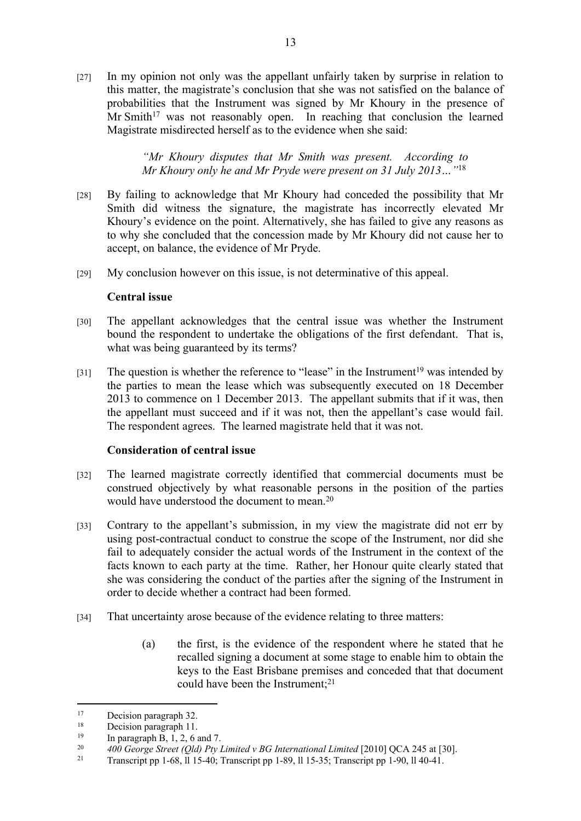[27] In my opinion not only was the appellant unfairly taken by surprise in relation to this matter, the magistrate's conclusion that she was not satisfied on the balance of probabilities that the Instrument was signed by Mr Khoury in the presence of  $Mr Smith<sup>17</sup>$  was not reasonably open. In reaching that conclusion the learned Magistrate misdirected herself as to the evidence when she said:

> *"Mr Khoury disputes that Mr Smith was present. According to Mr Khoury only he and Mr Pryde were present on 31 July 2013…"*<sup>18</sup>

- [28] By failing to acknowledge that Mr Khoury had conceded the possibility that Mr Smith did witness the signature, the magistrate has incorrectly elevated Mr Khoury's evidence on the point. Alternatively, she has failed to give any reasons as to why she concluded that the concession made by Mr Khoury did not cause her to accept, on balance, the evidence of Mr Pryde.
- [29] My conclusion however on this issue, is not determinative of this appeal.

#### **Central issue**

- [30] The appellant acknowledges that the central issue was whether the Instrument bound the respondent to undertake the obligations of the first defendant. That is, what was being guaranteed by its terms?
- [31] The question is whether the reference to "lease" in the Instrument<sup>19</sup> was intended by the parties to mean the lease which was subsequently executed on 18 December 2013 to commence on 1 December 2013. The appellant submits that if it was, then the appellant must succeed and if it was not, then the appellant's case would fail. The respondent agrees. The learned magistrate held that it was not.

# **Consideration of central issue**

- [32] The learned magistrate correctly identified that commercial documents must be construed objectively by what reasonable persons in the position of the parties would have understood the document to mean.<sup>20</sup>
- [33] Contrary to the appellant's submission, in my view the magistrate did not err by using post-contractual conduct to construe the scope of the Instrument, nor did she fail to adequately consider the actual words of the Instrument in the context of the facts known to each party at the time. Rather, her Honour quite clearly stated that she was considering the conduct of the parties after the signing of the Instrument in order to decide whether a contract had been formed.
- [34] That uncertainty arose because of the evidence relating to three matters:
	- (a) the first, is the evidence of the respondent where he stated that he recalled signing a document at some stage to enable him to obtain the keys to the East Brisbane premises and conceded that that document could have been the Instrument;<sup>21</sup>

<sup>&</sup>lt;sup>17</sup> Decision paragraph 32.

<sup>&</sup>lt;sup>18</sup> Decision paragraph 11.<br>
<sup>19</sup> In paragraph  $P$  1.2.6.6

<sup>&</sup>lt;sup>19</sup> In paragraph B, 1, 2, 6 and 7.<br><sup>20</sup>  $400 \text{ Gauss}$  Streat (Old) Bp. 1

<sup>&</sup>lt;sup>20</sup> *400 George Street (Qld) Pty Limited v BG International Limited [2010] QCA 245 at [30].*<br><sup>21</sup> Transarint pp 1.68 11.15.40: Transarint pp 1.80 11.15.35: Transarint pp 1.00 11.40.41

<sup>21</sup> Transcript pp 1-68, ll 15-40; Transcript pp 1-89, ll 15-35; Transcript pp 1-90, ll 40-41.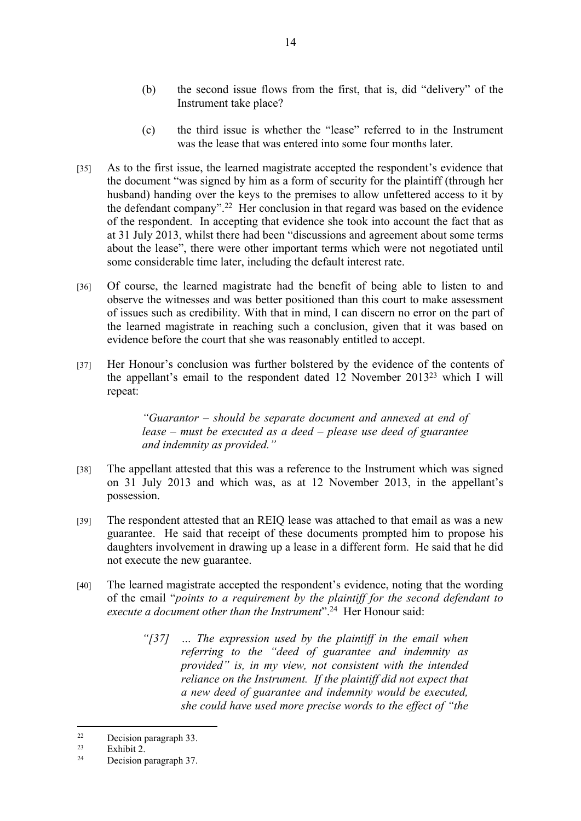- (b) the second issue flows from the first, that is, did "delivery" of the Instrument take place?
- (c) the third issue is whether the "lease" referred to in the Instrument was the lease that was entered into some four months later.
- [35] As to the first issue, the learned magistrate accepted the respondent's evidence that the document "was signed by him as a form of security for the plaintiff (through her husband) handing over the keys to the premises to allow unfettered access to it by the defendant company".<sup>22</sup> Her conclusion in that regard was based on the evidence of the respondent. In accepting that evidence she took into account the fact that as at 31 July 2013, whilst there had been "discussions and agreement about some terms about the lease", there were other important terms which were not negotiated until some considerable time later, including the default interest rate.
- [36] Of course, the learned magistrate had the benefit of being able to listen to and observe the witnesses and was better positioned than this court to make assessment of issues such as credibility. With that in mind, I can discern no error on the part of the learned magistrate in reaching such a conclusion, given that it was based on evidence before the court that she was reasonably entitled to accept.
- [37] Her Honour's conclusion was further bolstered by the evidence of the contents of the appellant's email to the respondent dated 12 November 2013<sup>23</sup> which I will repeat:

*"Guarantor – should be separate document and annexed at end of lease – must be executed as a deed – please use deed of guarantee and indemnity as provided."*

- [38] The appellant attested that this was a reference to the Instrument which was signed on 31 July 2013 and which was, as at 12 November 2013, in the appellant's possession.
- [39] The respondent attested that an REIQ lease was attached to that email as was a new guarantee. He said that receipt of these documents prompted him to propose his daughters involvement in drawing up a lease in a different form. He said that he did not execute the new guarantee.
- [40] The learned magistrate accepted the respondent's evidence, noting that the wording of the email "*points to a requirement by the plaintiff for the second defendant to execute a document other than the Instrument*".<sup>24</sup> Her Honour said:
	- *"[37] … The expression used by the plaintiff in the email when referring to the "deed of guarantee and indemnity as provided" is, in my view, not consistent with the intended reliance on the Instrument. If the plaintiff did not expect that a new deed of guarantee and indemnity would be executed, she could have used more precise words to the effect of "the*

 $22$  Decision paragraph 33.

 $\frac{23}{24}$  Exhibit 2.

Decision paragraph 37.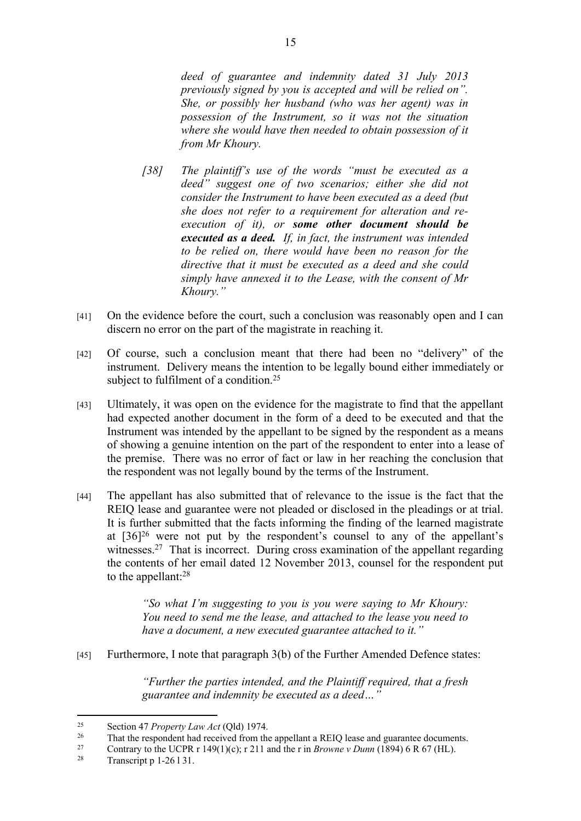*deed of guarantee and indemnity dated 31 July 2013 previously signed by you is accepted and will be relied on". She, or possibly her husband (who was her agent) was in possession of the Instrument, so it was not the situation where she would have then needed to obtain possession of it from Mr Khoury.* 

- *[38] The plaintiff's use of the words "must be executed as a deed" suggest one of two scenarios; either she did not consider the Instrument to have been executed as a deed (but she does not refer to a requirement for alteration and reexecution of it), or some other document should be executed as a deed. If, in fact, the instrument was intended to be relied on, there would have been no reason for the directive that it must be executed as a deed and she could simply have annexed it to the Lease, with the consent of Mr Khoury."*
- [41] On the evidence before the court, such a conclusion was reasonably open and I can discern no error on the part of the magistrate in reaching it.
- [42] Of course, such a conclusion meant that there had been no "delivery" of the instrument. Delivery means the intention to be legally bound either immediately or subject to fulfilment of a condition.<sup>25</sup>
- [43] Ultimately, it was open on the evidence for the magistrate to find that the appellant had expected another document in the form of a deed to be executed and that the Instrument was intended by the appellant to be signed by the respondent as a means of showing a genuine intention on the part of the respondent to enter into a lease of the premise. There was no error of fact or law in her reaching the conclusion that the respondent was not legally bound by the terms of the Instrument.
- [44] The appellant has also submitted that of relevance to the issue is the fact that the REIQ lease and guarantee were not pleaded or disclosed in the pleadings or at trial. It is further submitted that the facts informing the finding of the learned magistrate at [36]<sup>26</sup> were not put by the respondent's counsel to any of the appellant's witnesses.<sup>27</sup> That is incorrect. During cross examination of the appellant regarding the contents of her email dated 12 November 2013, counsel for the respondent put to the appellant:<sup>28</sup>

*"So what I'm suggesting to you is you were saying to Mr Khoury: You need to send me the lease, and attached to the lease you need to have a document, a new executed guarantee attached to it."*

[45] Furthermore, I note that paragraph 3(b) of the Further Amended Defence states:

*"Further the parties intended, and the Plaintiff required, that a fresh guarantee and indemnity be executed as a deed…"*

<sup>25</sup> Section 47 *Property Law Act* (Qld) 1974.

<sup>&</sup>lt;sup>26</sup> That the respondent had received from the appellant a REIQ lease and guarantee documents.<br><sup>27</sup> Contrary to the UCBB  $\pm$  140(1)(o);  $\pm$  211 and the r.in *Browney Dunn* (1804) 6 B 67 (H<sub>J</sub>).

<sup>27</sup> Contrary to the UCPR r 149(1)(c); r 211 and the r in *Browne v Dunn* (1894) 6 R 67 (HL).<br><sup>28</sup> Transarint n 1 26 1 21

Transcript p 1-26 l 31.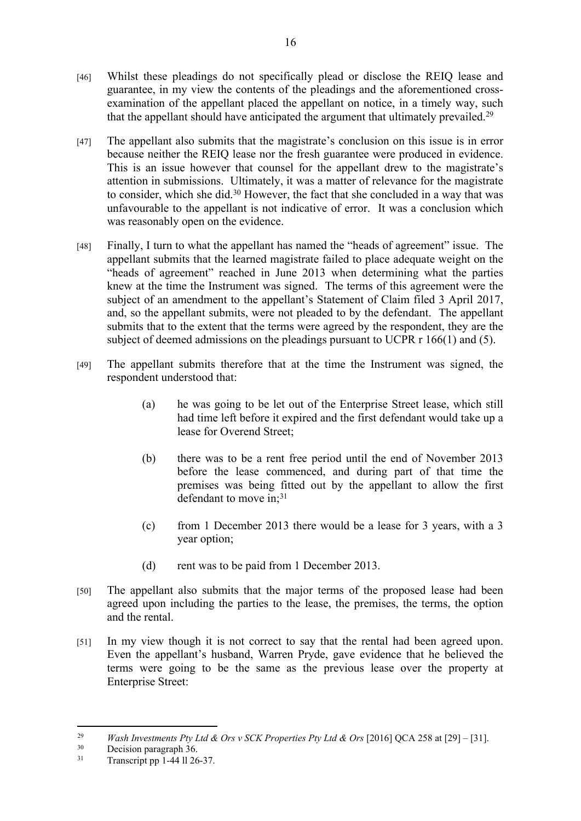- [46] Whilst these pleadings do not specifically plead or disclose the REIQ lease and guarantee, in my view the contents of the pleadings and the aforementioned crossexamination of the appellant placed the appellant on notice, in a timely way, such that the appellant should have anticipated the argument that ultimately prevailed.<sup>29</sup>
- [47] The appellant also submits that the magistrate's conclusion on this issue is in error because neither the REIQ lease nor the fresh guarantee were produced in evidence. This is an issue however that counsel for the appellant drew to the magistrate's attention in submissions. Ultimately, it was a matter of relevance for the magistrate to consider, which she did.<sup>30</sup> However, the fact that she concluded in a way that was unfavourable to the appellant is not indicative of error. It was a conclusion which was reasonably open on the evidence.
- [48] Finally, I turn to what the appellant has named the "heads of agreement" issue. The appellant submits that the learned magistrate failed to place adequate weight on the "heads of agreement" reached in June 2013 when determining what the parties knew at the time the Instrument was signed. The terms of this agreement were the subject of an amendment to the appellant's Statement of Claim filed 3 April 2017, and, so the appellant submits, were not pleaded to by the defendant. The appellant submits that to the extent that the terms were agreed by the respondent, they are the subject of deemed admissions on the pleadings pursuant to UCPR r 166(1) and (5).
- [49] The appellant submits therefore that at the time the Instrument was signed, the respondent understood that:
	- (a) he was going to be let out of the Enterprise Street lease, which still had time left before it expired and the first defendant would take up a lease for Overend Street;
	- (b) there was to be a rent free period until the end of November 2013 before the lease commenced, and during part of that time the premises was being fitted out by the appellant to allow the first defendant to move in;<sup>31</sup>
	- (c) from 1 December 2013 there would be a lease for 3 years, with a 3 year option;
	- (d) rent was to be paid from 1 December 2013.
- [50] The appellant also submits that the major terms of the proposed lease had been agreed upon including the parties to the lease, the premises, the terms, the option and the rental.
- [51] In my view though it is not correct to say that the rental had been agreed upon. Even the appellant's husband, Warren Pryde, gave evidence that he believed the terms were going to be the same as the previous lease over the property at Enterprise Street:

<sup>&</sup>lt;sup>29</sup> *Wash Investments Pty Ltd & Ors v SCK Properties Pty Ltd & Ors* [2016] QCA 258 at [29] – [31].

 $30$  Decision paragraph 36.<br> $31$  Transporting 1, 44, 11.26

Transcript pp  $1-44$  ll  $26-37$ .